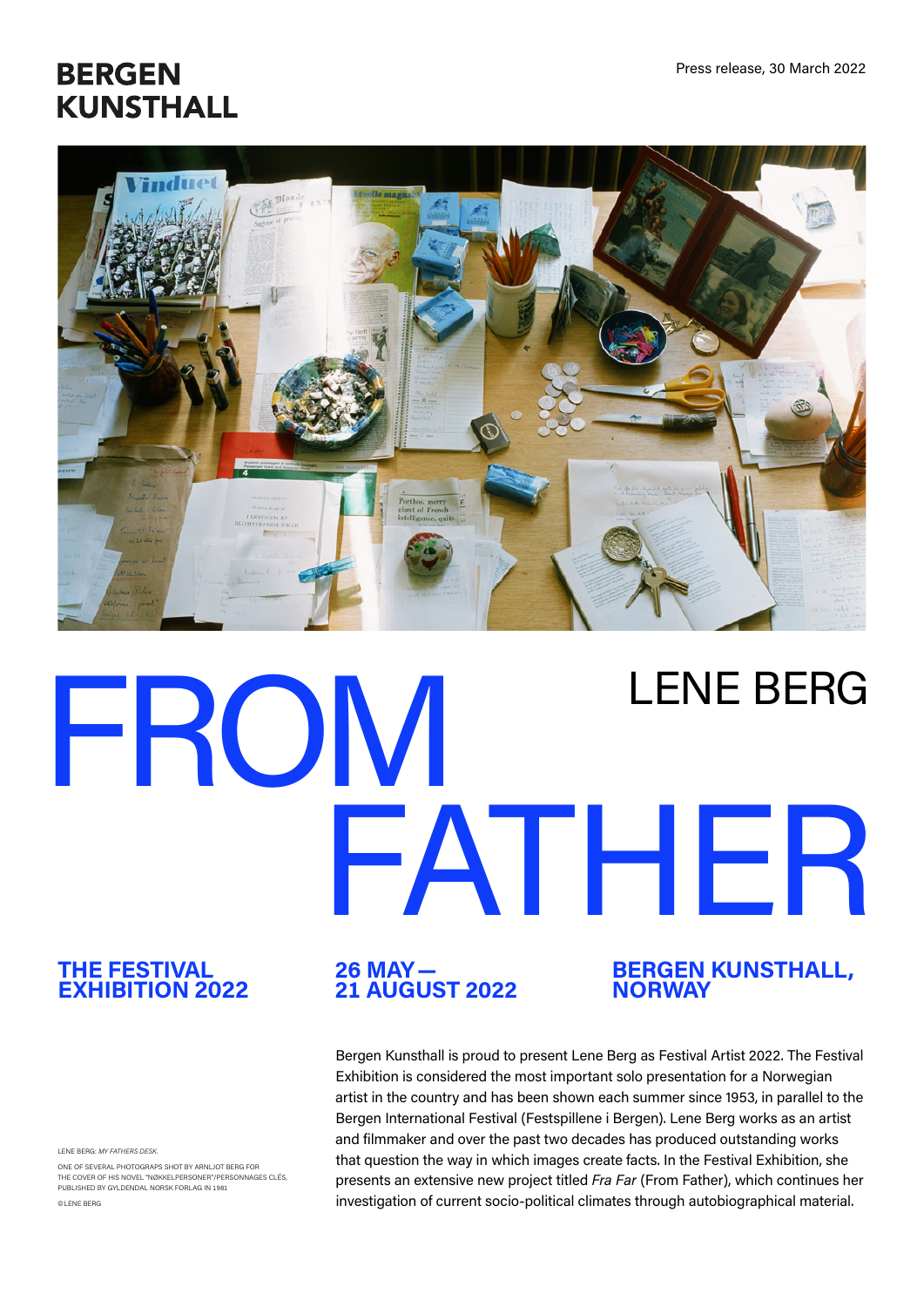# **BERGEN KUNSTHALL**



# FROM FATHER LENE BERG

#### **THE FESTIVAL EXHIBITION 2022**

LENE BERG: *MY FATHERS DES* 

ONE OF SEVERAL PHOTOGRAPS SHOT BY ARNLJOT BERG FOR THE COVER OF HIS NOVEL "NØKKELPERSONER"/PERSONNAGES CLÉS, PUBLISHED BY GYLDENDAL NORSK FORLAG IN 1981 ©LENE BERG

# **26 MAY— 21 AUGUST 2022**

#### **BERGEN KUNSTHALL, NORWAY**

Bergen Kunsthall is proud to present Lene Berg as Festival Artist 2022. The Festival Exhibition is considered the most important solo presentation for a Norwegian artist in the country and has been shown each summer since 1953, in parallel to the Bergen International Festival (Festspillene i Bergen). Lene Berg works as an artist and filmmaker and over the past two decades has produced outstanding works that question the way in which images create facts. In the Festival Exhibition, she presents an extensive new project titled *Fra Far* (From Father), which continues her investigation of current socio-political climates through autobiographical material.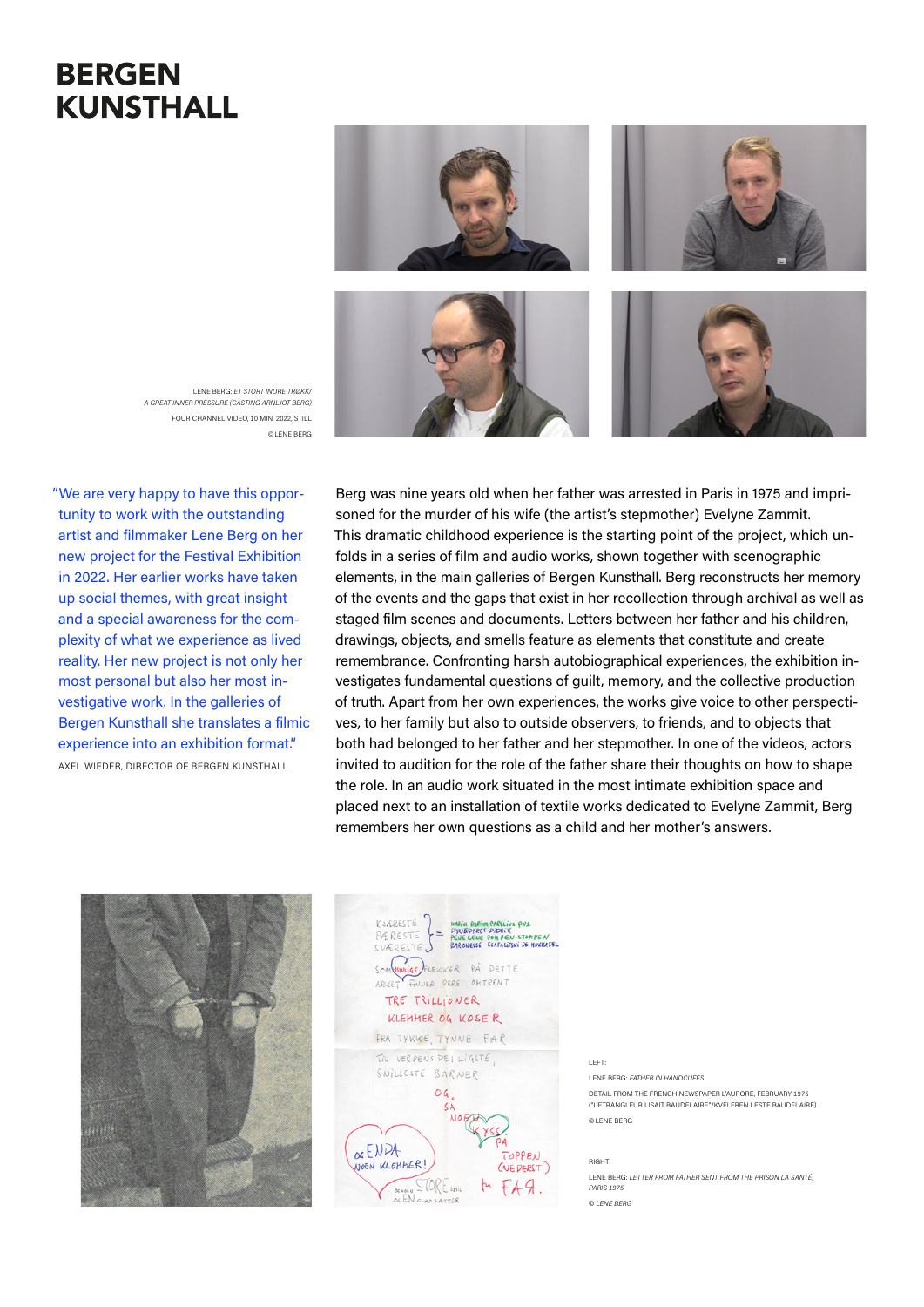### **BERGEN KUNSTHALL**



LENE BERG: *ET STORT INDRE TRØKK/ A GREAT INNER PRESSURE (CASTING ARNLJOT BERG)*  FOUR CHANNEL VIDEO, 10 MIN, 2022, STILL ©LENE BERG

"We are very happy to have this opportunity to work with the outstanding artist and filmmaker Lene Berg on her new project for the Festival Exhibition in 2022. Her earlier works have taken up social themes, with great insight and a special awareness for the complexity of what we experience as lived reality. Her new project is not only her most personal but also her most investigative work. In the galleries of Bergen Kunsthall she translates a filmic experience into an exhibition format." AXEL WIEDER, DIRECTOR OF BERGEN KUNSTHALL

Berg was nine years old when her father was arrested in Paris in 1975 and imprisoned for the murder of his wife (the artist's stepmother) Evelyne Zammit. This dramatic childhood experience is the starting point of the project, which unfolds in a series of film and audio works, shown together with scenographic elements, in the main galleries of Bergen Kunsthall. Berg reconstructs her memory of the events and the gaps that exist in her recollection through archival as well as staged film scenes and documents. Letters between her father and his children, drawings, objects, and smells feature as elements that constitute and create remembrance. Confronting harsh autobiographical experiences, the exhibition investigates fundamental questions of guilt, memory, and the collective production of truth. Apart from her own experiences, the works give voice to other perspectives, to her family but also to outside observers, to friends, and to objects that both had belonged to her father and her stepmother. In one of the videos, actors invited to audition for the role of the father share their thoughts on how to shape the role. In an audio work situated in the most intimate exhibition space and placed next to an installation of textile works dedicated to Evelyne Zammit, Berg remembers her own questions as a child and her mother's answers.

LEFT:





LENE BERG: *FATHER IN HANDCUFFS* DETAIL FROM THE FRENCH NEWSPAPER L'AURORE, FEBRUARY 1975 ("L'ETRANGLEUR LISAIT BAUDELAIRE"/KVELEREN LESTE BAUDELAIRE) ©LENE BERG

RIGHT: LENE BERG: *LETTER FROM FATHER SENT FROM THE PRISON LA SANTÉ, PARIS 1975 © LENE BERG*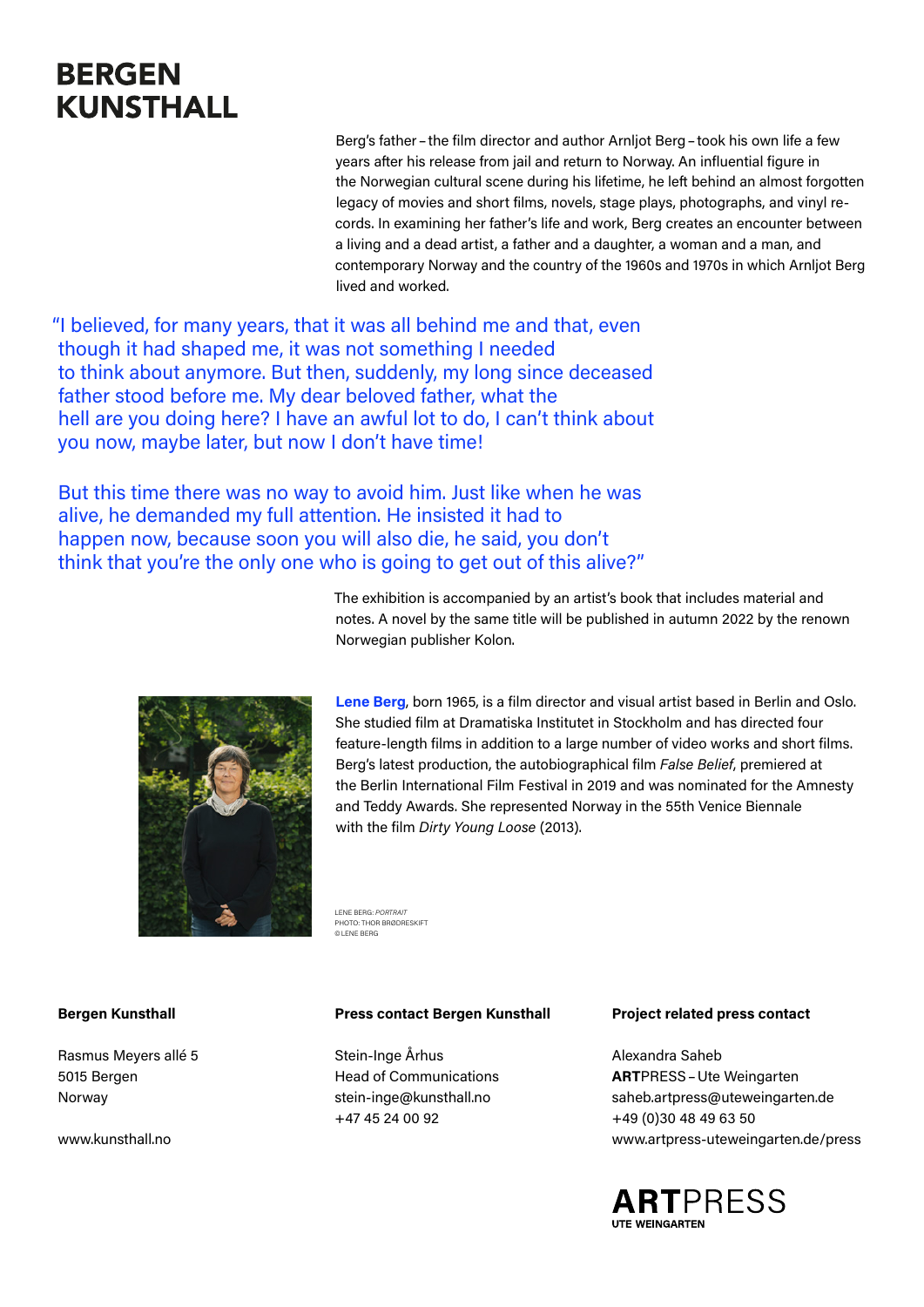## **BERGEN KUNSTHALL**

Berg's father–the film director and author Arnljot Berg–took his own life a few years after his release from jail and return to Norway. An influential figure in the Norwegian cultural scene during his lifetime, he left behind an almost forgotten legacy of movies and short films, novels, stage plays, photographs, and vinyl records. In examining her father's life and work, Berg creates an encounter between a living and a dead artist, a father and a daughter, a woman and a man, and contemporary Norway and the country of the 1960s and 1970s in which Arnljot Berg lived and worked.

"I believed, for many years, that it was all behind me and that, even though it had shaped me, it was not something I needed to think about anymore. But then, suddenly, my long since deceased father stood before me. My dear beloved father, what the hell are you doing here? I have an awful lot to do, I can't think about you now, maybe later, but now I don't have time!

But this time there was no way to avoid him. Just like when he was alive, he demanded my full attention. He insisted it had to happen now, because soon you will also die, he said, you don't think that you're the only one who is going to get out of this alive?"

> The exhibition is accompanied by an artist's book that includes material and notes. A novel by the same title will be published in autumn 2022 by the renown Norwegian publisher Kolon.



**Lene Berg**, born 1965, is a film director and visual artist based in Berlin and Oslo. She studied film at Dramatiska Institutet in Stockholm and has directed four feature-length films in addition to a large number of video works and short films. Berg's latest production, the autobiographical film *False Belief*, premiered at the Berlin International Film Festival in 2019 and was nominated for the Amnesty and Teddy Awards. She represented Norway in the 55th Venice Biennale with the film *Dirty Young Loose* (2013).

LENE BERG: *PORTRAIT* PHOTO: THOR BRØDRESKIFT ©LENE BERG

#### **Bergen Kunsthall**

Rasmus Meyers allé 5 5015 Bergen Norway

[www.kunsthall.no](http://www.kunsthall.no)

#### **Press contact Bergen Kunsthall**

Stein-Inge Århus Head of Communications [stein-inge@kunsthall.no](mailto:stein-inge%40kunsthall.no?subject=) +47 45 24 00 92

#### **Project related press contact**

Alexandra Saheb **ART**PRESS–Ute Weingarten saheb[.artpress@uteweingarten.de](mailto:saheb.artpress%40uteweingarten.de?subject=) +49 (0)30 48 49 63 50 [www.artpress-uteweingarten.de](http://www.artpress-uteweingarten.de/press)/press

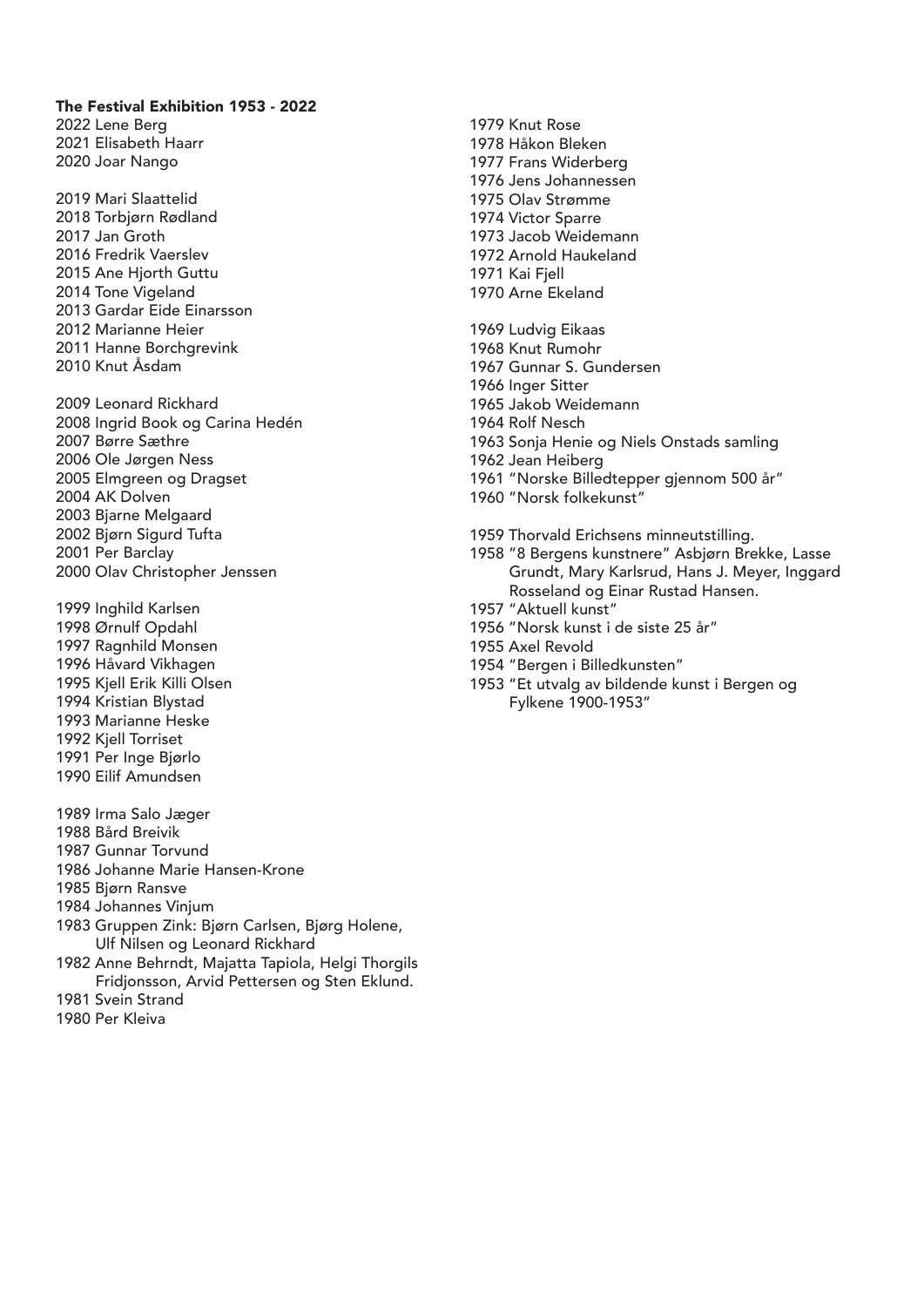#### The Festival Exhibition 1953 - 2022

2022 Lene Berg 2021 Elisabeth Haarr 2020 Joar Nango

- 2019 Mari Slaattelid 2018 Torbjørn Rødland 2017 Jan Groth 2016 Fredrik Vaerslev 2015 Ane Hjorth Guttu 2014 Tone Vigeland 2013 Gardar Eide Einarsson 2012 Marianne Heier 2011 Hanne Borchgrevink 2010 Knut Åsdam
- 2009 Leonard Rickhard 2008 Ingrid Book og Carina Hedén 2007 Børre Sæthre 2006 Ole Jørgen Ness 2005 Elmgreen og Dragset 2004 AK Dolven 2003 Bjarne Melgaard 2002 Bjørn Sigurd Tufta 2001 Per Barclay 2000 Olav Christopher Jenssen
- 1999 Inghild Karlsen 1998 Ørnulf Opdahl 1997 Ragnhild Monsen 1996 Håvard Vikhagen 1995 Kjell Erik Killi Olsen 1994 Kristian Blystad 1993 Marianne Heske 1992 Kjell Torriset 1991 Per Inge Bjørlo 1990 Eilif Amundsen
- 1989 Irma Salo Jæger
- 1988 Bård Breivik
- 1987 Gunnar Torvund
- 1986 Johanne Marie Hansen-Krone
- 1985 Bjørn Ransve
- 1984 Johannes Vinjum
- 1983 Gruppen Zink: Bjørn Carlsen, Bjørg Holene, Ulf Nilsen og Leonard Rickhard
- 1982 Anne Behrndt, Majatta Tapiola, Helgi Thorgils Fridjonsson, Arvid Pettersen og Sten Eklund.
- 1981 Svein Strand
- 1980 Per Kleiva
- 1979 Knut Rose 1978 Håkon Bleken 1977 Frans Widerberg 1976 Jens Johannessen 1975 Olav Strømme 1974 Victor Sparre 1973 Jacob Weidemann 1972 Arnold Haukeland 1971 Kai Fjell 1970 Arne Ekeland
- 1969 Ludvig Eikaas 1968 Knut Rumohr 1967 Gunnar S. Gundersen 1966 Inger Sitter 1965 Jakob Weidemann 1964 Rolf Nesch 1963 Sonja Henie og Niels Onstads samling 1962 Jean Heiberg 1961 "Norske Billedtepper gjennom 500 år" 1960 "Norsk folkekunst"
- 
- 1959 Thorvald Erichsens minneutstilling.
- 1958 "8 Bergens kunstnere" Asbjørn Brekke, Lasse Grundt, Mary Karlsrud, Hans J. Meyer, Inggard Rosseland og Einar Rustad Hansen.
- 1957 "Aktuell kunst"
- 1956 "Norsk kunst i de siste 25 år"
- 1955 Axel Revold
- 1954 "Bergen i Billedkunsten"
- 1953 "Et utvalg av bildende kunst i Bergen og Fylkene 1900-1953"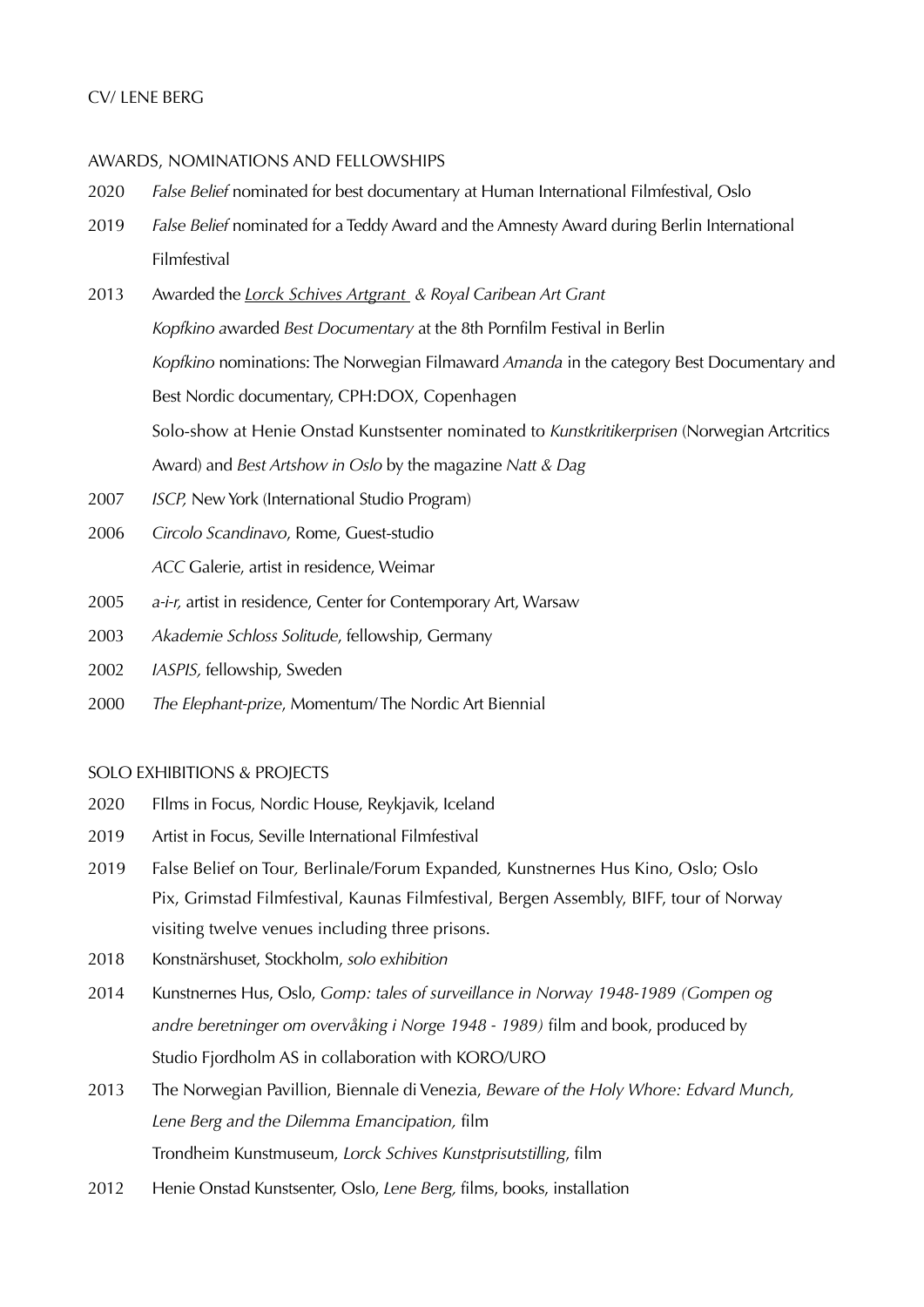#### CV/ LENE BERG

#### AWARDS, NOMINATIONS AND FELLOWSHIPS

- 2020 *False Belief* nominated for best documentary at Human International Filmfestival, Oslo
- 2019 *False Belief* nominated for a Teddy Award and the Amnesty Award during Berlin International Filmfestival
- 2013 Awarded the *[Lorck Schives Artgrant](http://www.e-flux.com/announcements/lene-berg-and-marianne-heier-awarded-the-lorck-schive-art-prize/#.UpDiG52l5o4.email) & Royal Caribean Art Grant Kopfkino a*warded *Best Documentary* at the 8th Pornfilm Festival in Berlin *Kopfkino* nominations: The Norwegian Filmaward *Amanda* in the category Best Documentary and Best Nordic documentary, CPH:DOX, Copenhagen Solo-show at Henie Onstad Kunstsenter nominated to *Kunstkritikerprisen* (Norwegian Artcritics Award) and *Best Artshow in Oslo* by the magazine *Natt & Dag*
- 2007 *ISCP,* New York (International Studio Program)
- 2006 *Circolo Scandinavo*, Rome, Guest-studio *ACC* Galerie, artist in residence, Weimar
- 2005 *a-i-r,* artist in residence, Center for Contemporary Art, Warsaw
- 2003 *Akademie Schloss Solitude*, fellowship, Germany
- 2002 *IASPIS,* fellowship, Sweden
- 2000 *The Elephant-prize*, Momentum/ The Nordic Art Biennial

#### SOLO EXHIBITIONS & PROJECTS

- 2020 FIlms in Focus, Nordic House, Reykjavik, Iceland
- 2019 Artist in Focus, Seville International Filmfestival
- 2019 False Belief on Tour*,* Berlinale/Forum Expanded*,* Kunstnernes Hus Kino, Oslo; Oslo Pix, Grimstad Filmfestival, Kaunas Filmfestival, Bergen Assembly, BIFF, tour of Norway visiting twelve venues including three prisons.
- 2018 Konstnärshuset, Stockholm, *solo exhibition*
- 2014 Kunstnernes Hus, Oslo, *Gomp: tales of surveillance in Norway 1948-1989 (Gompen og andre beretninger om overvåking i Norge 1948 - 1989)* film and book, produced by Studio Fjordholm AS in collaboration with KORO/URO
- 2013 The Norwegian Pavillion, Biennale di Venezia, *Beware of the Holy Whore: Edvard Munch, Lene Berg and the Dilemma Emancipation,* film Trondheim Kunstmuseum, *Lorck Schives Kunstprisutstilling*, film
- 2012 Henie Onstad Kunstsenter, Oslo, *Lene Berg,* films, books, installation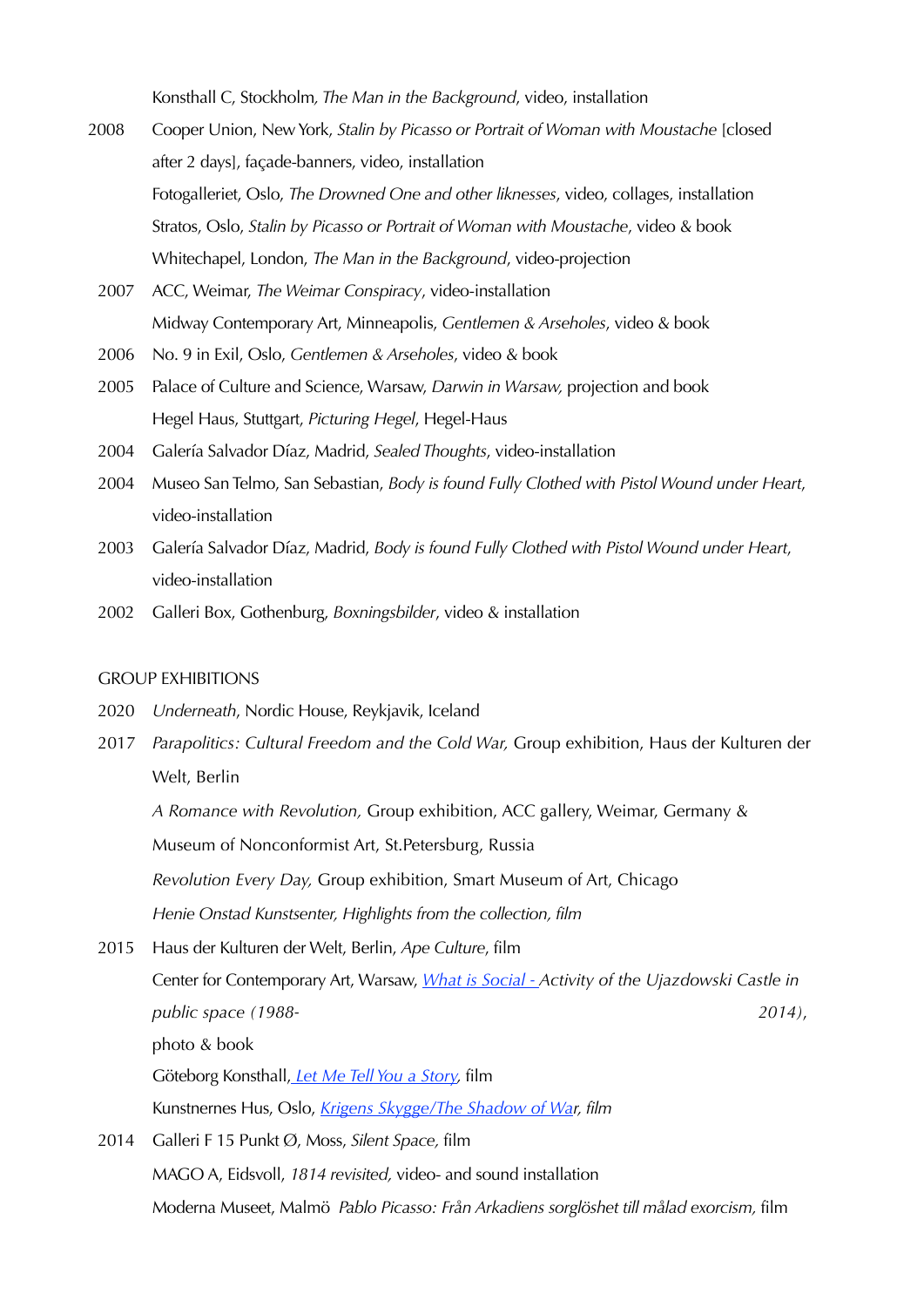Konsthall C, Stockholm*, The Man in the Background*, video, installation

- 2008 Cooper Union, New York, *Stalin by Picasso or Portrait of Woman with Moustache* [closed after 2 days], façade-banners, video, installation Fotogalleriet, Oslo, *The Drowned One and other liknesses*, video, collages, installation Stratos, Oslo, *Stalin by Picasso or Portrait of Woman with Moustache*, video & book Whitechapel, London, *The Man in the Background*, video-projection
	- 2007 ACC, Weimar, *The Weimar Conspiracy*, video-installation Midway Contemporary Art, Minneapolis, *Gentlemen & Arseholes*, video & book
	- 2006 No. 9 in Exil, Oslo, *Gentlemen & Arseholes*, video & book
	- 2005 Palace of Culture and Science, Warsaw, *Darwin in Warsaw,* projection and book Hegel Haus, Stuttgart, *Picturing Hegel*, Hegel-Haus
	- 2004 Galería Salvador Díaz, Madrid, *Sealed Thoughts*, video-installation
	- 2004 Museo San Telmo, San Sebastian, *Body is found Fully Clothed with Pistol Wound under Heart*, video-installation
	- 2003 Galería Salvador Díaz, Madrid, *Body is found Fully Clothed with Pistol Wound under Heart*, video-installation
	- 2002 Galleri Box, Gothenburg, *Boxningsbilder*, video & installation

#### GROUP EXHIBITIONS

- 2020 *Underneath*, Nordic House, Reykjavik, Iceland
- 2017 *Parapolitics: Cultural Freedom and the Cold War,* Group exhibition, Haus der Kulturen der Welt, Berlin

*A Romance with Revolution,* Group exhibition, ACC gallery, Weimar, Germany &

Museum of Nonconformist Art, St.Petersburg, Russia

*Revolution Every Day,* Group exhibition, Smart Museum of Art, Chicago

*Henie Onstad Kunstsenter, Highlights from the collection, film*

2015 Haus der Kulturen der Welt, Berlin, *Ape Culture*, film Center for Contemporary Art, Warsaw, *[What is Social - A](http://csw.art.pl/index.php?action=aktualnosci&s2=1&id=1181&lang=eng)ctivity of the Ujazdowski Castle in public space (1988- 2014)*, photo & book Göteborg Konsthall, *[Let Me Tell You a Story,](http://www.konsthallen.goteborg.se/prod/kultur/konsthallen/dalis2.nsf/535e371e7fd657aec1256a5c0045675f/aa3d6382d02e7462c1257de00052d7ee!OpenDocument)* film Kunstnernes Hus, Oslo, *[Krigens Skygge/The Shadow of War](http://www.kunstnerneshus.no/kunst/krigens-skygge-politisk-kunst-i-norge-1914-2014/), film* 2014 Galleri F 15 Punkt Ø, Moss, *Silent Space,* film

MAGO A, Eidsvoll, *1814 revisited,* video- and sound installation Moderna Museet, Malmö *Pablo Picasso: Från Arkadiens sorglöshet till målad exorcism,* film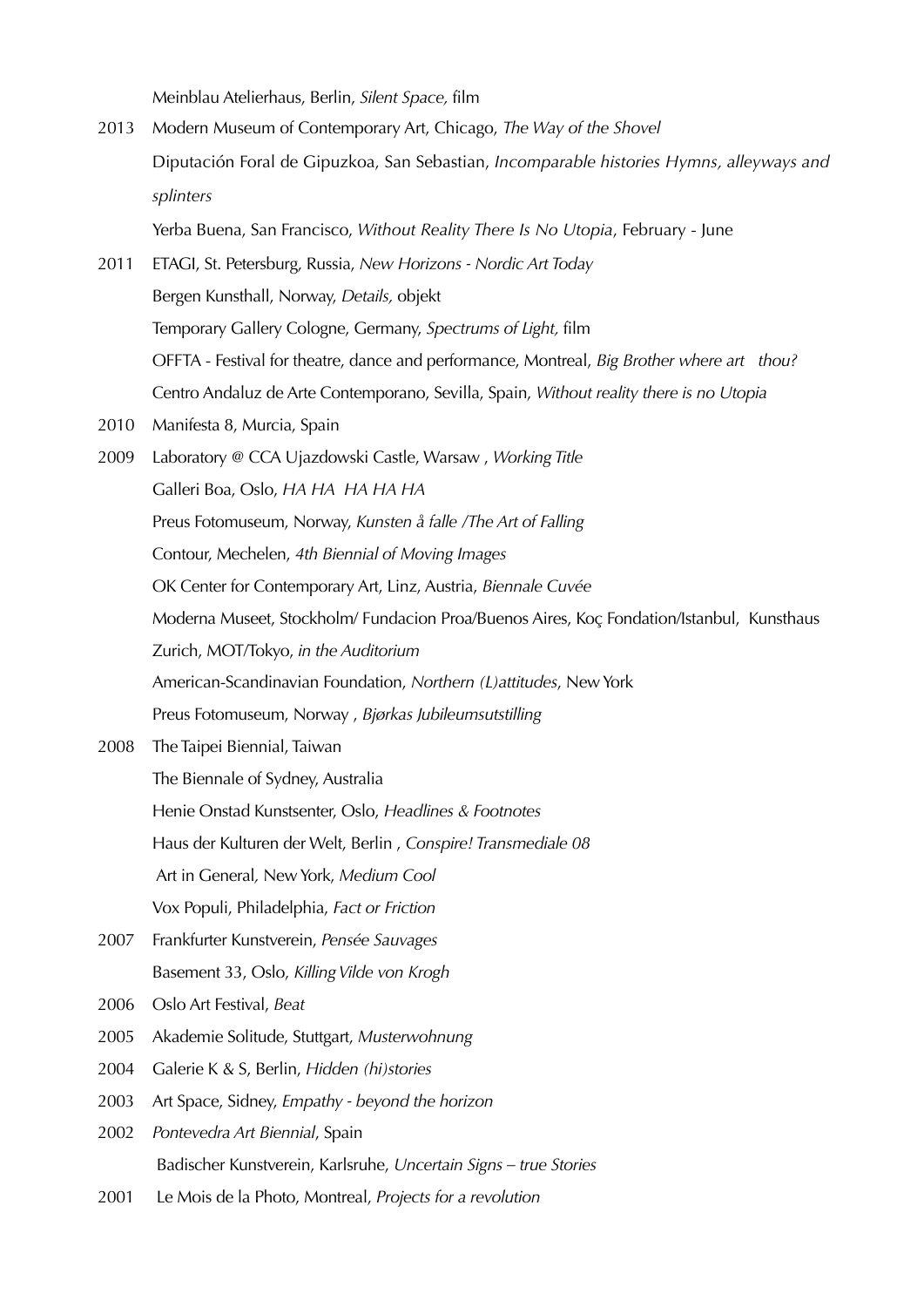Meinblau Atelierhaus, Berlin, *Silent Space,* film

2013 Modern Museum of Contemporary Art, Chicago, *The Way of the Shovel* Diputación Foral de Gipuzkoa, San Sebastian, *Incomparable histories Hymns, alleyways and splinters*

Yerba Buena, San Francisco, *Without Reality There Is No Utopia*, February - June

- 2011 ETAGI, St. Petersburg, Russia, *New Horizons Nordic Art Today* Bergen Kunsthall, Norway, *Details,* objekt Temporary Gallery Cologne, Germany, *Spectrums of Light,* film OFFTA - Festival for theatre, dance and performance, Montreal, *Big Brother where art thou?* Centro Andaluz de Arte Contemporano, Sevilla, Spain, *Without reality there is no Utopia*
- 2010 Manifesta 8, Murcia, Spain
- 2009 Laboratory @ CCA Ujazdowski Castle, Warsaw , *Working Title* Galleri Boa, Oslo, *HA HA HA HA HA* Preus Fotomuseum, Norway, *Kunsten å falle /The Art of Falling* Contour, Mechelen, *4th Biennial of Moving Images* OK Center for Contemporary Art, Linz, Austria, *Biennale Cuvée* Moderna Museet, Stockholm/ Fundacion Proa/Buenos Aires, Koç Fondation/Istanbul, Kunsthaus Zurich, MOT/Tokyo, *in the Auditorium* American-Scandinavian Foundation, *Northern (L)attitudes*, New York Preus Fotomuseum, Norway , *Bjørkas Jubileumsutstilling* 2008 The Taipei Biennial, Taiwan
- The Biennale of Sydney, Australia Henie Onstad Kunstsenter, Oslo, *Headlines & Footnotes* Haus der Kulturen der Welt, Berlin , *Conspire! Transmediale 08* Art in General*,* New York, *Medium Cool* Vox Populi, Philadelphia, *Fact or Friction*
- 2007 Frankfurter Kunstverein, *Pensée Sauvages* Basement 33, Oslo, *Killing Vilde von Krogh*
- 2006 Oslo Art Festival, *Beat*
- 2005 Akademie Solitude, Stuttgart, *Musterwohnung*
- 2004 Galerie K & S, Berlin, *Hidden (hi)stories*
- 2003 Art Space, Sidney, *Empathy beyond the horizon*
- 2002 *Pontevedra Art Biennial*, Spain Badischer Kunstverein, Karlsruhe, *Uncertain Signs – true Stories*
- 2001 Le Mois de la Photo, Montreal, *Projects for a revolution*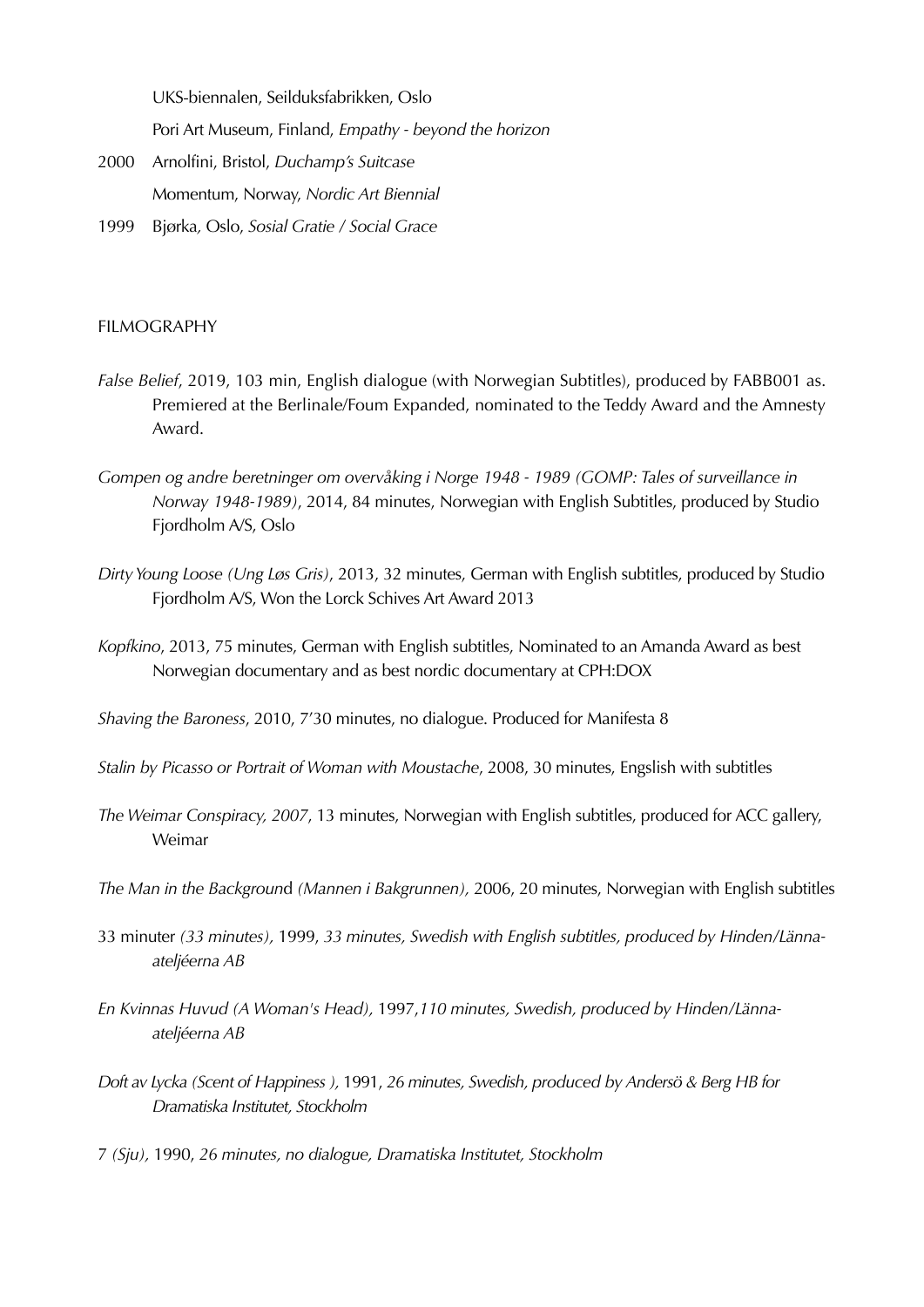UKS-biennalen, Seilduksfabrikken, Oslo

Pori Art Museum, Finland, *Empathy - beyond the horizon*

- 2000 Arnolfini, Bristol, *Duchamp's Suitcase* Momentum, Norway, *Nordic Art Biennial*
- 1999 Bjørka*,* Oslo, *Sosial Gratie / Social Grace*

#### FILMOGRAPHY

- *False Belief*, 2019, 103 min, English dialogue (with Norwegian Subtitles), produced by FABB001 as. Premiered at the Berlinale/Foum Expanded, nominated to the Teddy Award and the Amnesty Award.
- *Gompen og andre beretninger om overvåking i Norge 1948 1989 (GOMP: Tales of surveillance in Norway 1948-1989)*, 2014, 84 minutes, Norwegian with English Subtitles, produced by Studio Fjordholm A/S, Oslo
- *Dirty Young Loose (Ung Løs Gris)*, 2013, 32 minutes, German with English subtitles, produced by Studio Fjordholm A/S, Won the Lorck Schives Art Award 2013
- *Kopfkino*, 2013, 75 minutes, German with English subtitles, Nominated to an Amanda Award as best Norwegian documentary and as best nordic documentary at CPH:DOX

*Shaving the Baroness*, 2010, 7'30 minutes, no dialogue. Produced for Manifesta 8

*Stalin by Picasso or Portrait of Woman with Moustache*, 2008, 30 minutes, Engslish with subtitles

- *The Weimar Conspiracy, 2007*, 13 minutes, Norwegian with English subtitles, produced for ACC gallery, Weimar
- *The Man in the Backgroun*d *(Mannen i Bakgrunnen),* 2006, 20 minutes, Norwegian with English subtitles
- 33 minuter *(33 minutes),* 1999, *33 minutes, Swedish with English subtitles, produced by Hinden/Lännaateljéerna AB*
- *En Kvinnas Huvud (A Woman's Head),* 1997,*110 minutes, Swedish, produced by Hinden/Lännaateljéerna AB*
- *Doft av Lycka (Scent of Happiness ),* 1991, *26 minutes, Swedish, produced by Andersö & Berg HB for Dramatiska Institutet, Stockholm*
- 7 *(Sju),* 1990, *26 minutes, no dialogue, Dramatiska Institutet, Stockholm*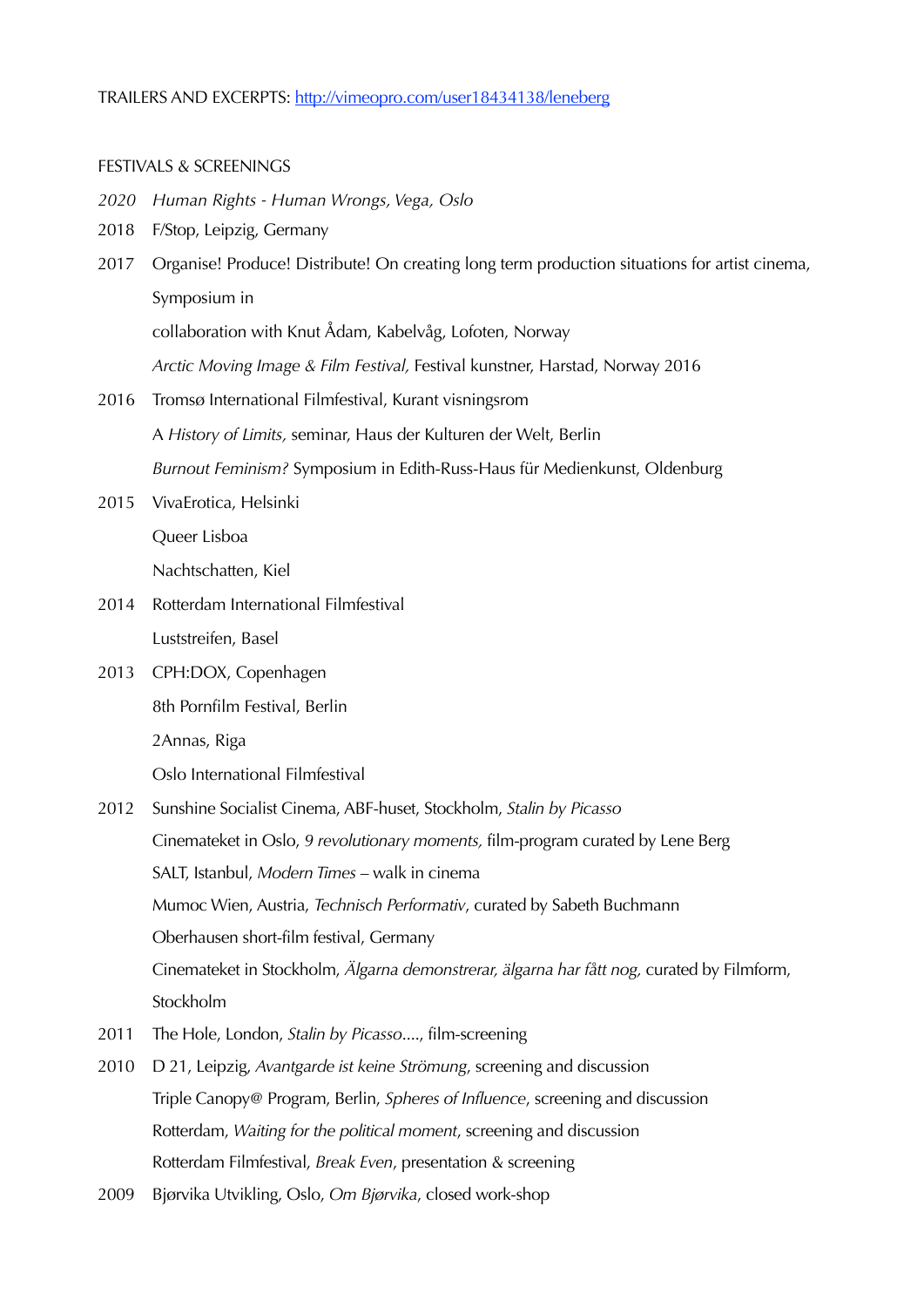#### TRAILERS AND EXCERPTS:<http://vimeopro.com/user18434138/leneberg>

#### FESTIVALS & SCREENINGS

- *2020 Human Rights Human Wrongs, Vega, Oslo*
- 2018 F/Stop, Leipzig, Germany
- 2017 Organise! Produce! Distribute! On creating long term production situations for artist cinema, Symposium in

collaboration with Knut Ådam, Kabelvåg, Lofoten, Norway

*Arctic Moving Image & Film Festival,* Festival kunstner, Harstad, Norway 2016

- 2016 Tromsø International Filmfestival, Kurant visningsrom A *History of Limits,* seminar, Haus der Kulturen der Welt, Berlin *Burnout Feminism?* Symposium in Edith-Russ-Haus für Medienkunst, Oldenburg
- 2015 VivaErotica, Helsinki

Queer Lisboa

Nachtschatten, Kiel

- 2014 Rotterdam International Filmfestival Luststreifen, Basel
- 2013 CPH:DOX, Copenhagen

8th Pornfilm Festival, Berlin

2Annas, Riga

Oslo International Filmfestival

- 2012 Sunshine Socialist Cinema, ABF-huset, Stockholm, *Stalin by Picasso* Cinemateket in Oslo, *9 revolutionary moments,* film-program curated by Lene Berg SALT, Istanbul, *Modern Times* – walk in cinema Mumoc Wien, Austria, *Technisch Performativ*, curated by Sabeth Buchmann Oberhausen short-film festival, Germany Cinemateket in Stockholm, *Älgarna demonstrerar, älgarna har fått nog,* curated by Filmform, Stockholm
- 2011 The Hole, London, *Stalin by Picasso*...., film-screening
- 2010 D 21, Leipzig, *Avantgarde ist keine Strömung*, screening and discussion Triple Canopy@ Program, Berlin, *Spheres of Influence*, screening and discussion Rotterdam, *Waiting for the political moment*, screening and discussion Rotterdam Filmfestival, *Break Even*, presentation & screening
- 2009 Bjørvika Utvikling, Oslo, *Om Bjørvika*, closed work-shop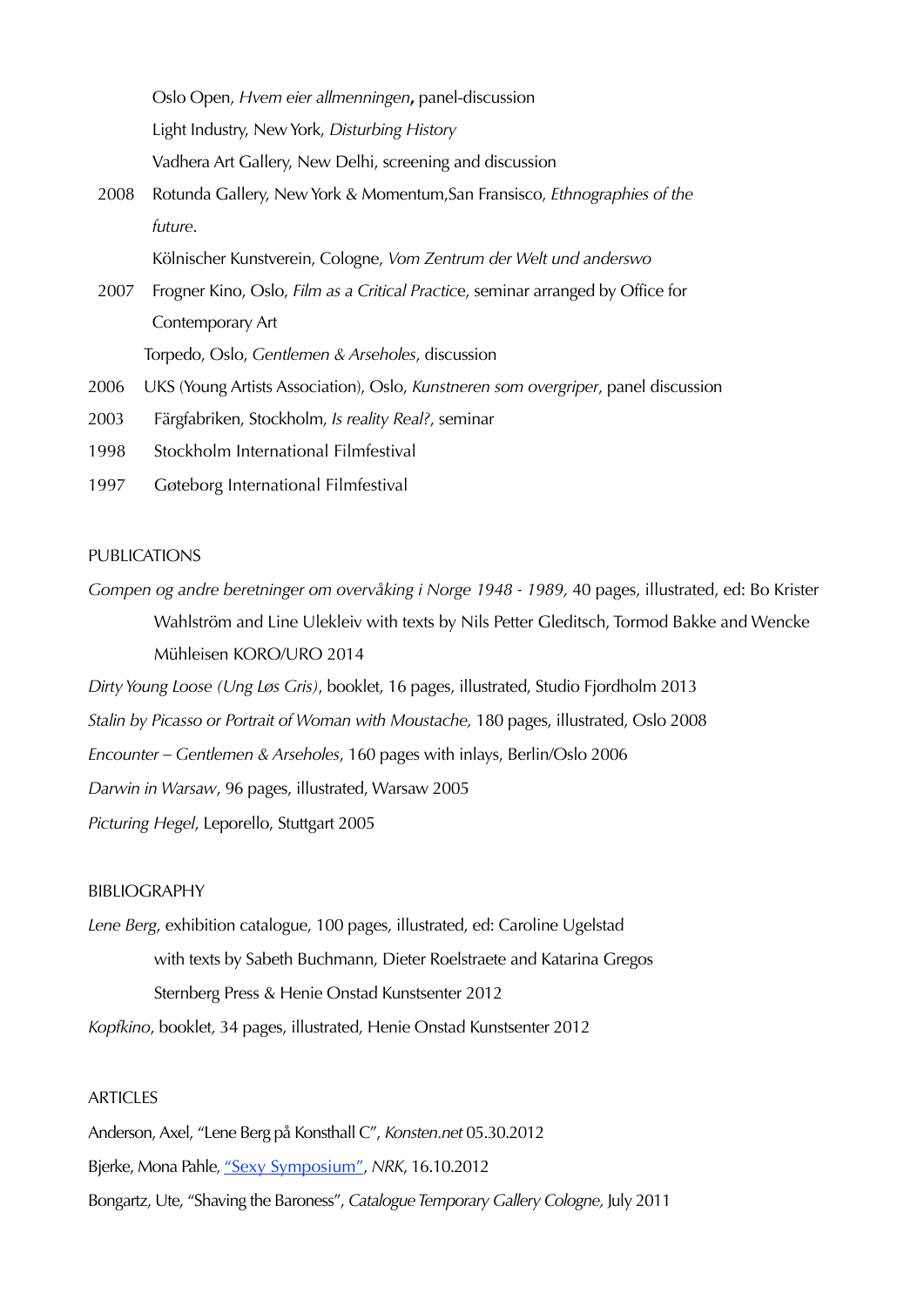|      | Oslo Open, Hvem eier allmenningen, panel-discussion                             |
|------|---------------------------------------------------------------------------------|
|      | Light Industry, New York, Disturbing History                                    |
|      | Vadhera Art Gallery, New Delhi, screening and discussion                        |
| 2008 | Rotunda Gallery, New York & Momentum, San Fransisco, Ethnographies of the       |
|      | future.                                                                         |
|      | Kölnischer Kunstverein, Cologne, Vom Zentrum der Welt und anderswo              |
| 2007 | Frogner Kino, Oslo, Film as a Critical Practice, seminar arranged by Office for |
|      | Contemporary Art                                                                |
|      | Torpedo, Oslo, Gentlemen & Arseholes, discussion                                |
|      |                                                                                 |

- 2006 UKS (Young Artists Association), Oslo, *Kunstneren som overgriper*, panel discussion
- 2003 Färgfabriken, Stockholm, *Is reality Real?*, seminar
- 1998 Stockholm International Filmfestival
- 1997 Gøteborg International Filmfestival

#### PUBLICATIONS

- *Gompen og andre beretninger om overvåking i Norge 1948 1989,* 40 pages, illustrated, ed: Bo Krister Wahlström and Line Ulekleiv with texts by Nils Petter Gleditsch, Tormod Bakke and Wencke Mühleisen KORO/URO 2014
- *Dirty Young Loose (Ung Løs Gris)*, booklet, 16 pages, illustrated, Studio Fjordholm 2013
- *Stalin by Picasso or Portrait of Woman with Moustache,* 180 pages, illustrated, Oslo 2008
- *Encounter Gentlemen & Arseholes*, 160 pages with inlays, Berlin/Oslo 2006

*Darwin in Warsaw*, 96 pages, illustrated, Warsaw 2005

*Picturing Hegel*, Leporello, Stuttgart 2005

#### BIBLIOGRAPHY

*Lene Berg*, exhibition catalogue, 100 pages, illustrated, ed: Caroline Ugelstad with texts by Sabeth Buchmann, Dieter Roelstraete and Katarina Gregos Sternberg Press & Henie Onstad Kunstsenter 2012

*Kopfkino*, booklet, 34 pages, illustrated, Henie Onstad Kunstsenter 2012

#### **ARTICLES**

- Anderson, Axel, "Lene Berg på Konsthall C", *Konsten.net* 05.30.2012
- Bjerke, Mona Pahle, ["Sexy Symposium"](http://m.nrk.no/1.8360923), *NRK*, 16.10.2012
- Bongartz, Ute, "Shaving the Baroness", *Catalogue Temporary Gallery Cologne,* July 2011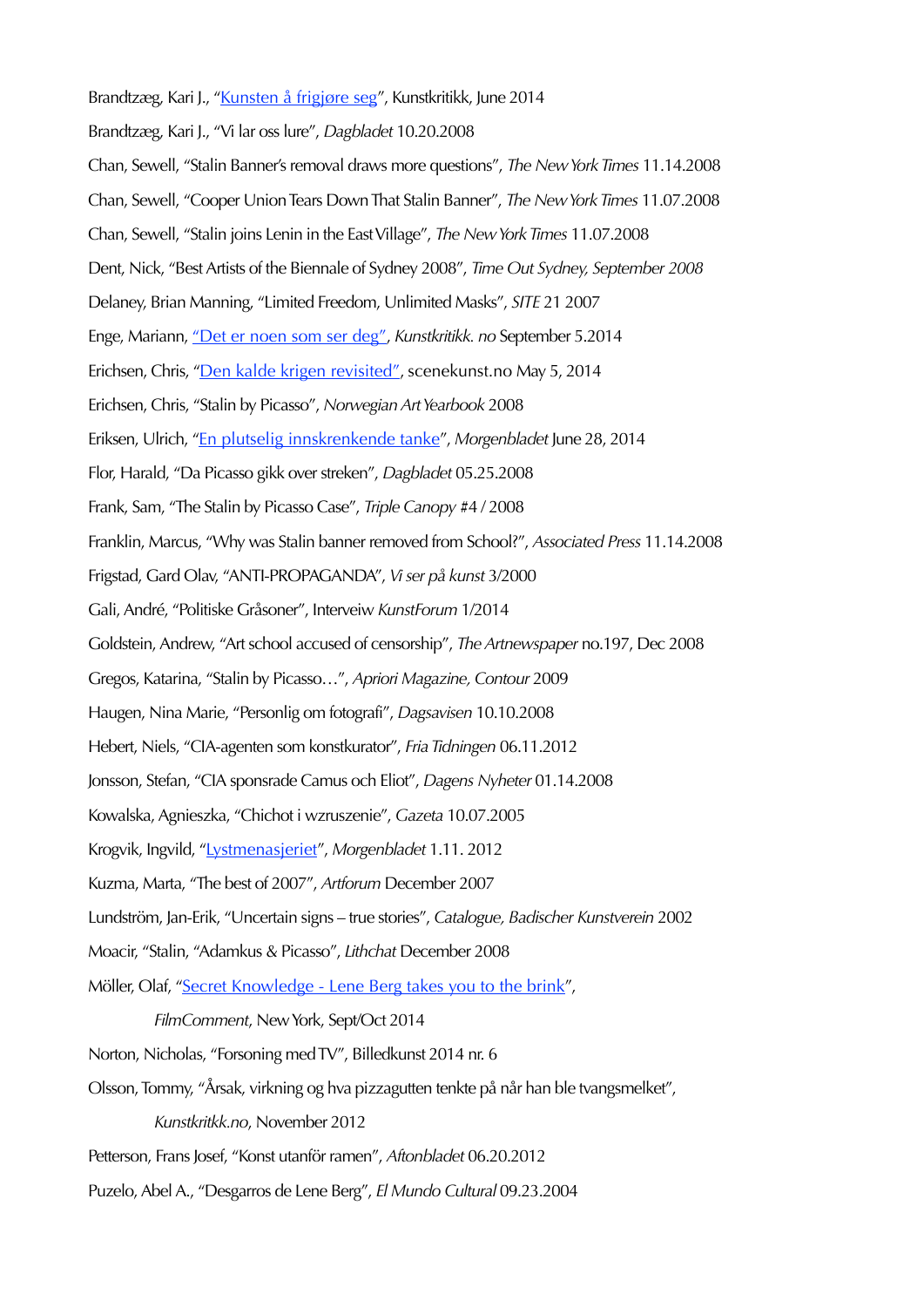Brandtzæg, Kari J., ["Kunsten å frigjøre seg](http://www.kunstkritikk.no/kritikk/kunsten-a-frigjore-seg/)", Kunstkritikk, June 2014 Brandtzæg, Kari J., "Vi lar oss lure", *Dagbladet* 10.20.2008 Chan, Sewell, "Stalin Banner's removal draws more questions", *The New York Times* 11.14.2008 Chan, Sewell, "Cooper Union Tears Down That Stalin Banner", *The New York Times* 11.07.2008 Chan, Sewell, "Stalin joins Lenin in the East Village", *The New York Times* 11.07.2008 Dent, Nick, "Best Artists of the Biennale of Sydney 2008", *Time Out Sydney, September 2008* Delaney, Brian Manning, "Limited Freedom, Unlimited Masks", *SITE* 21 2007 Enge, Mariann, ["Det er noen som ser deg"](http://www.kunstkritikk.no/artikler/det-er-noen-som-ser-deg/), *Kunstkritikk. no* September 5.2014 Erichsen, Chris, ["Den kalde krigen revisited",](http://www.scenekunst.no/pub/scenekunst/main/?aid=5566) scenekunst.no May 5, 2014 Erichsen, Chris, "Stalin by Picasso", *Norwegian Art Yearbook* 2008 Eriksen, Ulrich, ["En plutselig innskrenkende tanke](http://morgenbladet.no/kultur/2013/en_plutselig_innskrenkende_tanke%23.UkPHPBaGlLQ)", *Morgenbladet* June 28, 2014 Flor, Harald, "Da Picasso gikk over streken", *Dagbladet* 05.25.2008 Frank, Sam, "The Stalin by Picasso Case", *Triple Canopy* #4 / 2008 Franklin, Marcus, "Why was Stalin banner removed from School?", *Associated Press* 11.14.2008 Frigstad, Gard Olav, "ANTI-PROPAGANDA", *Vi ser på kunst* 3/2000 Gali, André, "Politiske Gråsoner", Interveiw *KunstForum* 1/2014 Goldstein, Andrew, "Art school accused of censorship", *The Artnewspaper* no.197, Dec 2008 Gregos, Katarina, "Stalin by Picasso…", *Apriori Magazine, Contour* 2009 Haugen, Nina Marie, "Personlig om fotografi", *Dagsavisen* 10.10.2008 Hebert, Niels, "CIA-agenten som konstkurator", *Fria Tidningen* 06.11.2012 Jonsson, Stefan, "CIA sponsrade Camus och Eliot", *Dagens Nyheter* 01.14.2008 Kowalska, Agnieszka, "Chichot i wzruszenie", *Gazeta* 10.07.2005 Krogvik, Ingvild, ["Lystmenasjeriet](http://morgenbladet.no/kultur/2012/lystmenasjeriet%23.U6Fmr9y5Owf)", *Morgenbladet* 1.11. 2012 Kuzma, Marta, "The best of 2007", *Artforum* December 2007 Lundström, Jan-Erik, "Uncertain signs – true stories", *Catalogue, Badischer Kunstverein* 2002 Moacir, "Stalin, "Adamkus & Picasso", *Lithchat* December 2008 Möller, Olaf, "[Secret Knowledge - Lene Berg takes you to the brink](https://www.dropbox.com/sh/21grkrlhwhyqtdi/mvOx3J7u8i)", *FilmComment*, New York, Sept/Oct 2014 Norton, Nicholas, "Forsoning med TV", Billedkunst 2014 nr. 6 Olsson, Tommy, "Årsak, virkning og hva pizzagutten tenkte på når han ble tvangsmelket", *Kunstkritkk.no*, November 2012

- Petterson, Frans Josef, "Konst utanför ramen", *Aftonbladet* 06.20.2012
- Puzelo, Abel A., "Desgarros de Lene Berg", *El Mundo Cultural* 09.23.2004